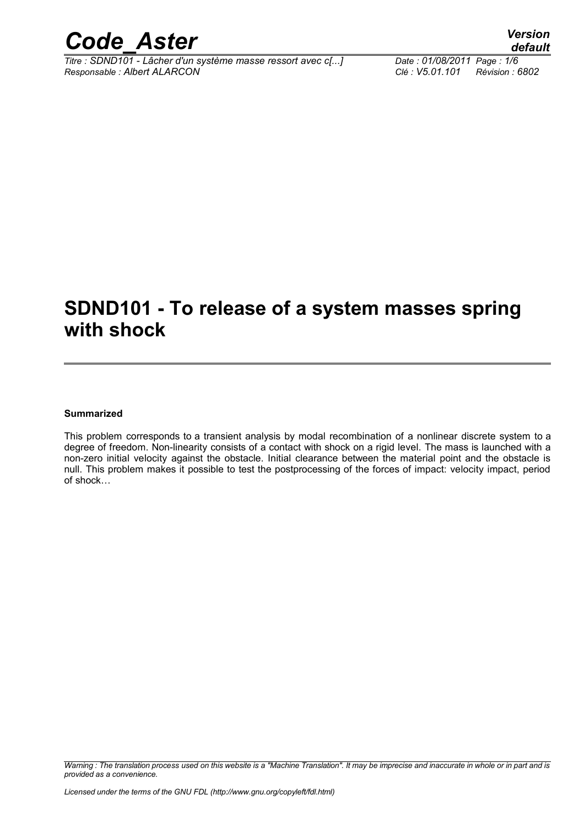

*Titre : SDND101 - Lâcher d'un système masse ressort avec c[...] Date : 01/08/2011 Page : 1/6 Responsable : Albert ALARCON Clé : V5.01.101 Révision : 6802*

## **SDND101 - To release of a system masses spring with shock**

#### **Summarized**

This problem corresponds to a transient analysis by modal recombination of a nonlinear discrete system to a degree of freedom. Non-linearity consists of a contact with shock on a rigid level. The mass is launched with a non-zero initial velocity against the obstacle. Initial clearance between the material point and the obstacle is null. This problem makes it possible to test the postprocessing of the forces of impact: velocity impact, period of shock…

*Warning : The translation process used on this website is a "Machine Translation". It may be imprecise and inaccurate in whole or in part and is provided as a convenience.*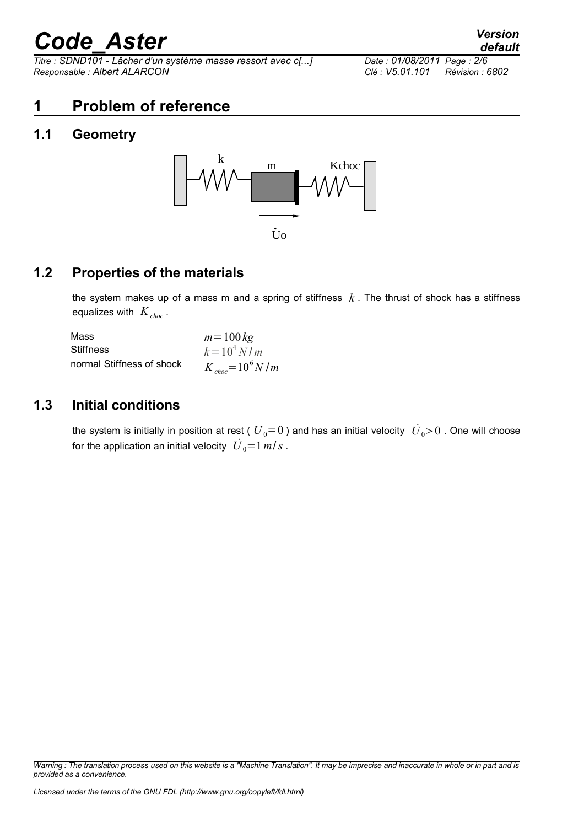*Titre : SDND101 - Lâcher d'un système masse ressort avec c[...] Date : 01/08/2011 Page : 2/6 Responsable : Albert ALARCON Clé : V5.01.101 Révision : 6802*

### **1 Problem of reference**

### **1.1 Geometry**



#### **1.2 Properties of the materials**

the system makes up of a mass m and a spring of stiffness *k* . The thrust of shock has a stiffness equalizes with  $K_{choc}$ .

| Mass                      | $m = 100 \text{ kg}$  |
|---------------------------|-----------------------|
| <b>Stiffness</b>          | $k = 10^4 N/m$        |
| normal Stiffness of shock | $K_{choc} = 10^6 N/m$ |

#### **1.3 Initial conditions**

the system is initially in position at rest (  ${U}_0{\rm{ = }}0$  ) and has an initial velocity  $\,{\dot {U}}_0{\rm{ > }}0$  . One will choose for the application an initial velocity  $\left| \dot{U}_{0} \text{=}1\,m\right/s$  .

*Warning : The translation process used on this website is a "Machine Translation". It may be imprecise and inaccurate in whole or in part and is provided as a convenience.*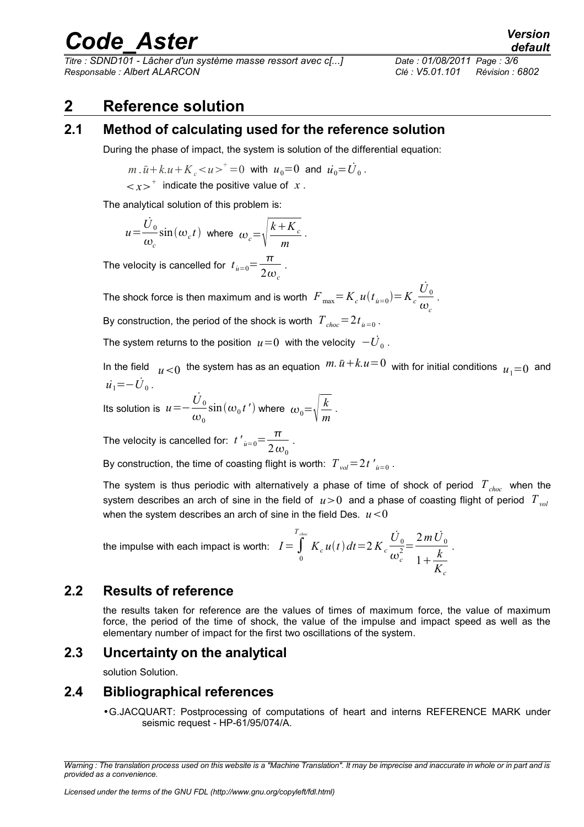*Titre : SDND101 - Lâcher d'un système masse ressort avec c[...] Date : 01/08/2011 Page : 3/6 Responsable : Albert ALARCON Clé : V5.01.101 Révision : 6802*

### **2 Reference solution**

#### **2.1 Method of calculating used for the reference solution**

During the phase of impact, the system is solution of the differential equation:

$$
m \cdot \ddot{u} + k \cdot u + K_c < u >^+ = 0
$$
 with  $u_0 = 0$  and  $\dot{u_0} = \dot{U}_0$ .

 $\langle x \rangle^+$  indicate the positive value of *x*.

The analytical solution of this problem is:

$$
u = \frac{\dot{U}_0}{\omega_c} \sin(\omega_c t) \text{ where } \omega_c = \sqrt{\frac{k + K_c}{m}}.
$$

The velocity is cancelled for  $t_{u=0} = \frac{\pi}{2}$  $\frac{1}{2\omega_c}$ .

The shock force is then maximum and is worth  $\left. F_{\text{ max}}\right. \!=\! K_{c}^{}\,u(t_{\textit{ u}=0})\!=\!K_{c}^{}$  $\dot{\overline{U}}_0$  $\frac{\omega}{\omega_c}$  . By construction, the period of the shock is worth  $\left|T_{\text{choc}}\!=\!2t_{\text{i\!i=0}$  .

The system returns to the position  $\;u\!=\!0\;$  with the velocity  $\;{-\dot{U}}_0$  .

In the field  $u$  <0 the system has as an equation  $m.\, \ddot{u} + k.u = 0 \,$  with for initial conditions  $u_{1}=0 \,$  and  $\dot{u_1} = - \dot{U}_0$ .

Its solution is *u*=−  $\dot{{U}}_0$  $\omega_{0}$  $\sin(\omega_0 t')$  where  $\omega_0 = \sqrt{\frac{k}{m}}$  $\frac{n}{m}$ .

The velocity is cancelled for:  $t'_{u=0} = \frac{\pi}{2\pi}$  $\frac{1}{2\omega_0}$ .

By construction, the time of coasting flight is worth:  $\left|T_{\textit{vol}}\right|=2\,t\,\prime_{\textit{u}=0}^{\prime}$  .

The system is thus periodic with alternatively a phase of time of shock of period *Tchoc* when the system describes an arch of sine in the field of  $u>0$  and a phase of coasting flight of period  $T_{vol}$ when the system describes an arch of sine in the field Des.  $u < 0$ 

the impulse with each impact is worth: 
$$
I = \int_{0}^{T_{choc}} K_c u(t) dt = 2 K_c \frac{\dot{U}_0}{\omega_c^2} = \frac{2 m \dot{U}_0}{1 + \frac{k}{K_c}}.
$$

#### **2.2 Results of reference**

the results taken for reference are the values of times of maximum force, the value of maximum force, the period of the time of shock, the value of the impulse and impact speed as well as the elementary number of impact for the first two oscillations of the system.

#### **2.3 Uncertainty on the analytical**

solution Solution.

#### **2.4 Bibliographical references**

•G.JACQUART: Postprocessing of computations of heart and interns REFERENCE MARK under seismic request - HP-61/95/074/A.

*Warning : The translation process used on this website is a "Machine Translation". It may be imprecise and inaccurate in whole or in part and is provided as a convenience.*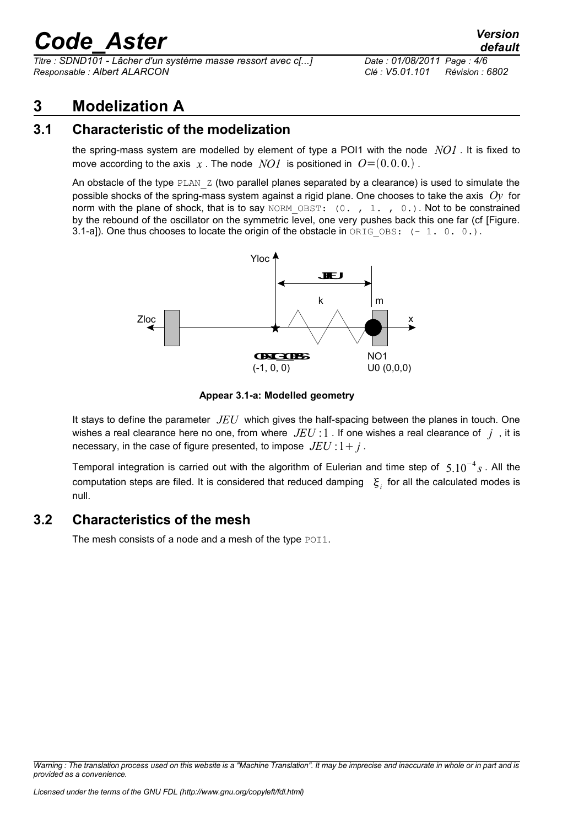*Titre : SDND101 - Lâcher d'un système masse ressort avec c[...] Date : 01/08/2011 Page : 4/6 Responsable : Albert ALARCON Clé : V5.01.101 Révision : 6802*

*default*

### **3 Modelization A**

#### **3.1 Characteristic of the modelization**

the spring-mass system are modelled by element of type a POI1 with the node *NO1* . It is fixed to move according to the axis  $x$ . The node  $NOI$  is positioned in  $O=(0,0,0,1)$ .

An obstacle of the type  $PLAN_Z$  (two parallel planes separated by a clearance) is used to simulate the possible shocks of the spring-mass system against a rigid plane. One chooses to take the axis *Oy* for norm with the plane of shock, that is to say NORM OBST:  $(0. , 1. , 0.)$ . Not to be constrained by the rebound of the oscillator on the symmetric level, one very pushes back this one far (cf [Figure. 3.1-a]). One thus chooses to locate the origin of the obstacle in  $ORIGOBS: (-1, 0, 0.)$ .





It stays to define the parameter *JEU* which gives the half-spacing between the planes in touch. One wishes a real clearance here no one, from where *JEU* :1 . If one wishes a real clearance of *j* , it is necessary, in the case of figure presented, to impose  $JEU: 1 + i$ .

Temporal integration is carried out with the algorithm of Eulerian and time step of 5.10<sup>−</sup><sup>4</sup> *s* . All the computation steps are filed. It is considered that reduced damping  $\|\xi_i\|$  for all the calculated modes is null.

#### **3.2 Characteristics of the mesh**

The mesh consists of a node and a mesh of the type POI1.

*Warning : The translation process used on this website is a "Machine Translation". It may be imprecise and inaccurate in whole or in part and is provided as a convenience.*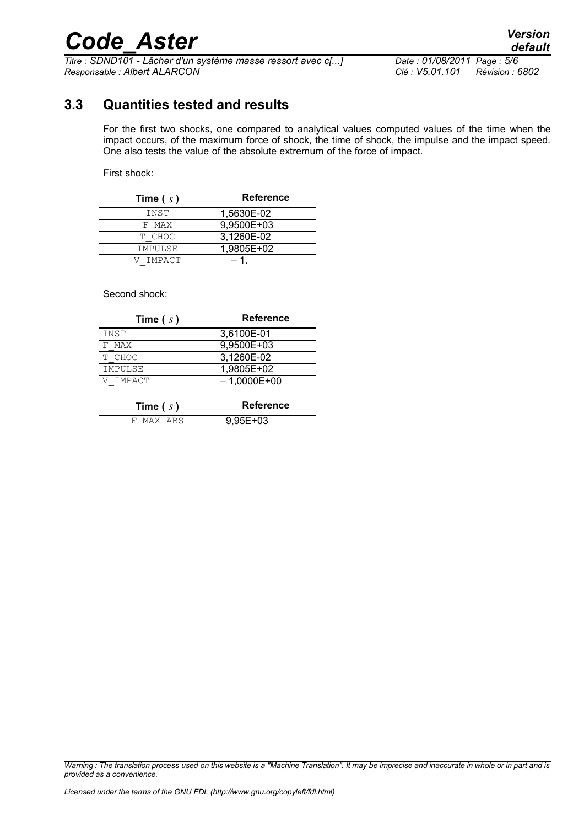*Titre : SDND101 - Lâcher d'un système masse ressort avec c[...] Date : 01/08/2011 Page : 5/6 Responsable : Albert ALARCON Clé : V5.01.101 Révision : 6802*

#### **3.3 Quantities tested and results**

For the first two shocks, one compared to analytical values computed values of the time when the impact occurs, of the maximum force of shock, the time of shock, the impulse and the impact speed. One also tests the value of the absolute extremum of the force of impact.

First shock:

| Time $(s)$ | <b>Reference</b> |
|------------|------------------|
| INST       | 1.5630E-02       |
| F MAX      | 9,9500E+03       |
| T CHOC     | 3,1260E-02       |
| IMPULSE    | 1,9805E+02       |
| V IMPACT   | - 1              |

Second shock:

| Time $(s)$ | <b>Reference</b> |
|------------|------------------|
| INST       | 3,6100E-01       |
| F MAX      | 9,9500E+03       |
| T CHOC     | 3,1260E-02       |
| IMPULSE    | 1,9805E+02       |
| V IMPACT   | $-1,0000E+00$    |

| Time $(s)$ | Reference  |
|------------|------------|
| F MAX ABS  | $9,95E+03$ |

*Warning : The translation process used on this website is a "Machine Translation". It may be imprecise and inaccurate in whole or in part and is provided as a convenience.*